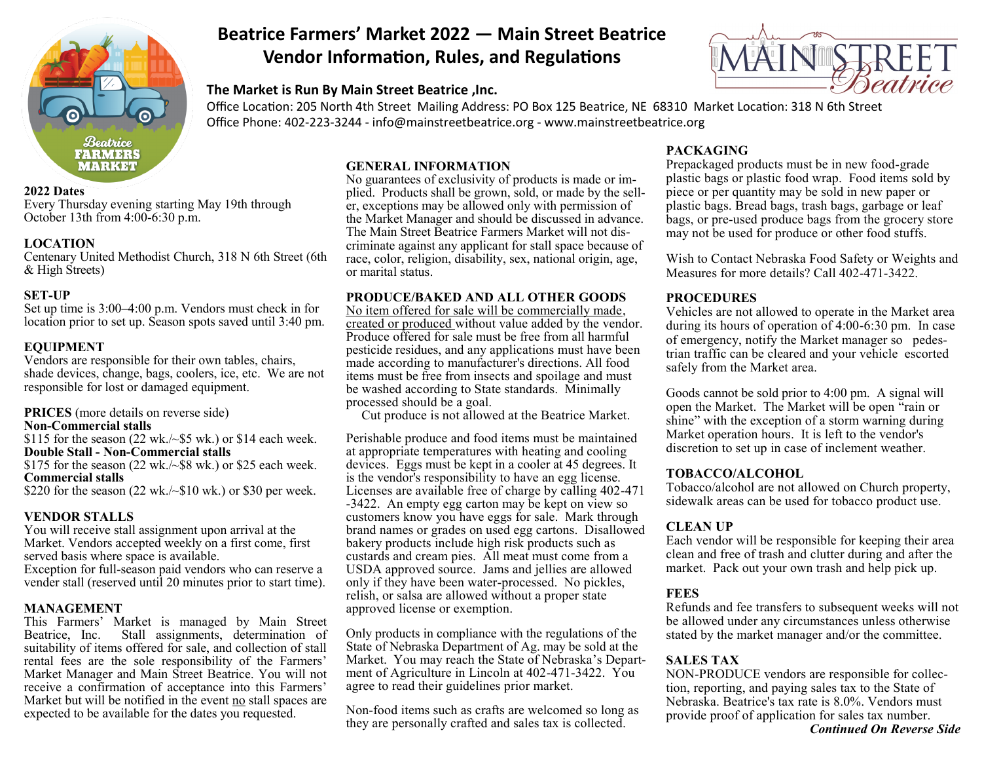

#### **2022 Dates**

Every Thursday evening starting May 19th through October 13th from 4:00-6:30 p.m.

## **LOCATION**

Centenary United Methodist Church, 318 N 6th Street (6th & High Streets)

## **SET-UP**

Set up time is 3:00–4:00 p.m. Vendors must check in for location prior to set up. Season spots saved until 3:40 pm.

# **EQUIPMENT**

Vendors are responsible for their own tables, chairs, shade devices, change, bags, coolers, ice, etc. We are not responsible for lost or damaged equipment.

**PRICES** (more details on reverse side)

**Non-Commercial stalls**

\$115 for the season  $(22 \text{ wk.}/\$5 \text{ wk.})$  or \$14 each week. **Double Stall - Non-Commercial stalls** \$175 for the season  $(22 \text{ wk.}/\$8 \text{ wk.})$  or \$25 each week. **Commercial stalls**

\$220 for the season  $(22 \text{ wk.} / \sim $10 \text{ wk.})$  or \$30 per week.

## **VENDOR STALLS**

You will receive stall assignment upon arrival at the Market. Vendors accepted weekly on a first come, first served basis where space is available. Exception for full-season paid vendors who can reserve a

vender stall (reserved until 20 minutes prior to start time).

#### **MANAGEMENT**

This Farmers' Market is managed by Main Street Beatrice, Inc. Stall assignments, determination of suitability of items offered for sale, and collection of stall rental fees are the sole responsibility of the Farmers' Market Manager and Main Street Beatrice. You will not receive a confirmation of acceptance into this Farmers' Market but will be notified in the event no stall spaces are expected to be available for the dates you requested.

# **Beatrice Farmers' Market 2022 — Main Street Beatrice Vendor Information, Rules, and Regulations**

# **The Market is Run By Main Street Beatrice ,Inc.**



Office Location: 205 North 4th Street Mailing Address: PO Box 125 Beatrice, NE 68310 Market Location: 318 N 6th Street Office Phone: 402-223-3244 - info@mainstreetbeatrice.org - www.mainstreetbeatrice.org

## **GENERAL INFORMATION**

No guarantees of exclusivity of products is made or implied. Products shall be grown, sold, or made by the seller, exceptions may be allowed only with permission of the Market Manager and should be discussed in advance. The Main Street Beatrice Farmers Market will not discriminate against any applicant for stall space because of race, color, religion, disability, sex, national origin, age, or marital status.

## **PRODUCE/BAKED AND ALL OTHER GOODS**

No item offered for sale will be commercially made, created or produced without value added by the vendor. Produce offered for sale must be free from all harmful pesticide residues, and any applications must have been made according to manufacturer's directions. All food items must be free from insects and spoilage and must be washed according to State standards. Minimally processed should be a goal.

Cut produce is not allowed at the Beatrice Market.

Perishable produce and food items must be maintained at appropriate temperatures with heating and cooling devices. Eggs must be kept in a cooler at 45 degrees. It is the vendor's responsibility to have an egg license. Licenses are available free of charge by calling 402-471 -3422. An empty egg carton may be kept on view so customers know you have eggs for sale. Mark through brand names or grades on used egg cartons. Disallowed bakery products include high risk products such as custards and cream pies. All meat must come from a USDA approved source. Jams and jellies are allowed only if they have been water-processed. No pickles, relish, or salsa are allowed without a proper state approved license or exemption.

Only products in compliance with the regulations of the State of Nebraska Department of Ag. may be sold at the Market. You may reach the State of Nebraska's Department of Agriculture in Lincoln at 402-471-3422. You agree to read their guidelines prior market.

Non-food items such as crafts are welcomed so long as they are personally crafted and sales tax is collected.

# **PACKAGING**

Prepackaged products must be in new food-grade plastic bags or plastic food wrap. Food items sold by piece or per quantity may be sold in new paper or plastic bags. Bread bags, trash bags, garbage or leaf bags, or pre-used produce bags from the grocery store may not be used for produce or other food stuffs.

Wish to Contact Nebraska Food Safety or Weights and Measures for more details? Call 402-471-3422.

## **PROCEDURES**

Vehicles are not allowed to operate in the Market area during its hours of operation of 4:00-6:30 pm. In case of emergency, notify the Market manager so pedestrian traffic can be cleared and your vehicle escorted safely from the Market area.

Goods cannot be sold prior to 4:00 pm. A signal will open the Market. The Market will be open "rain or shine" with the exception of a storm warning during Market operation hours. It is left to the vendor's discretion to set up in case of inclement weather.

## **TOBACCO/ALCOHOL**

Tobacco/alcohol are not allowed on Church property, sidewalk areas can be used for tobacco product use.

# **CLEAN UP**

Each vendor will be responsible for keeping their area clean and free of trash and clutter during and after the market. Pack out your own trash and help pick up.

## **FEES**

Refunds and fee transfers to subsequent weeks will not be allowed under any circumstances unless otherwise stated by the market manager and/or the committee.

# **SALES TAX**

NON-PRODUCE vendors are responsible for collection, reporting, and paying sales tax to the State of Nebraska. Beatrice's tax rate is 8.0%. Vendors must provide proof of application for sales tax number.

#### *Continued On Reverse Side*